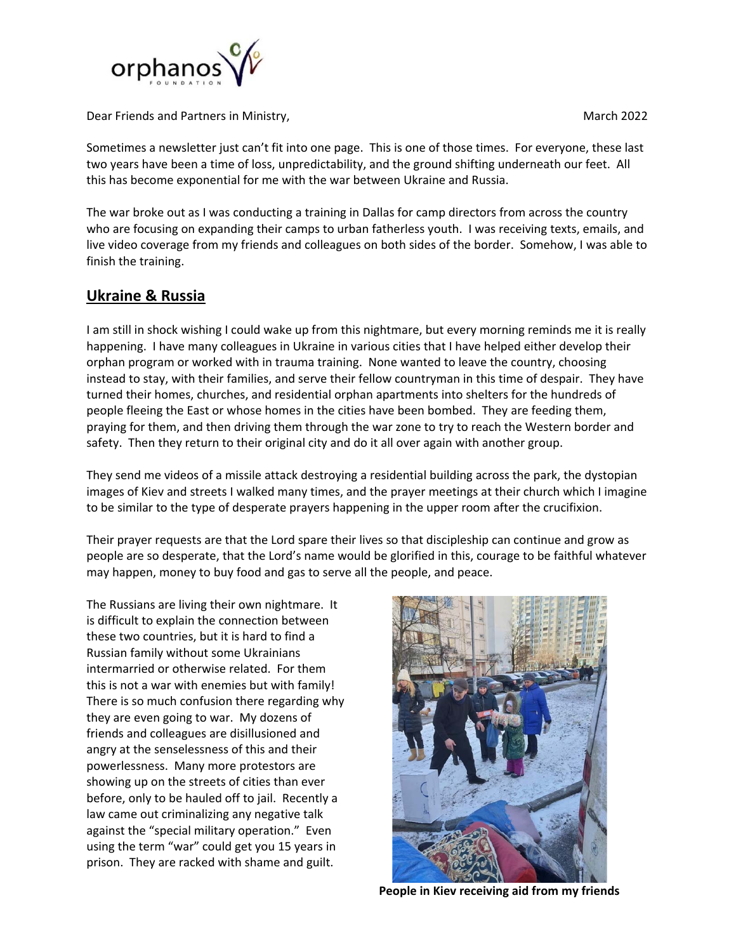

Dear Friends and Partners in Ministry, **Dear Friends and Partners in Ministry, Partners in Ministry**, **March 2022** 

Sometimes a newsletter just can't fit into one page. This is one of those times. For everyone, these last two years have been a time of loss, unpredictability, and the ground shifting underneath our feet. All this has become exponential for me with the war between Ukraine and Russia.

The war broke out as I was conducting a training in Dallas for camp directors from across the country who are focusing on expanding their camps to urban fatherless youth. I was receiving texts, emails, and live video coverage from my friends and colleagues on both sides of the border. Somehow, I was able to finish the training.

## **Ukraine & Russia**

I am still in shock wishing I could wake up from this nightmare, but every morning reminds me it is really happening. I have many colleagues in Ukraine in various cities that I have helped either develop their orphan program or worked with in trauma training. None wanted to leave the country, choosing instead to stay, with their families, and serve their fellow countryman in this time of despair. They have turned their homes, churches, and residential orphan apartments into shelters for the hundreds of people fleeing the East or whose homes in the cities have been bombed. They are feeding them, praying for them, and then driving them through the war zone to try to reach the Western border and safety. Then they return to their original city and do it all over again with another group.

They send me videos of a missile attack destroying a residential building across the park, the dystopian images of Kiev and streets I walked many times, and the prayer meetings at their church which I imagine to be similar to the type of desperate prayers happening in the upper room after the crucifixion.

Their prayer requests are that the Lord spare their lives so that discipleship can continue and grow as people are so desperate, that the Lord's name would be glorified in this, courage to be faithful whatever may happen, money to buy food and gas to serve all the people, and peace.

The Russians are living their own nightmare. It is difficult to explain the connection between these two countries, but it is hard to find a Russian family without some Ukrainians intermarried or otherwise related. For them this is not a war with enemies but with family! There is so much confusion there regarding why they are even going to war. My dozens of friends and colleagues are disillusioned and angry at the senselessness of this and their powerlessness. Many more protestors are showing up on the streets of cities than ever before, only to be hauled off to jail. Recently a law came out criminalizing any negative talk against the "special military operation." Even using the term "war" could get you 15 years in prison. They are racked with shame and guilt.



 **People in Kiev receiving aid from my friends**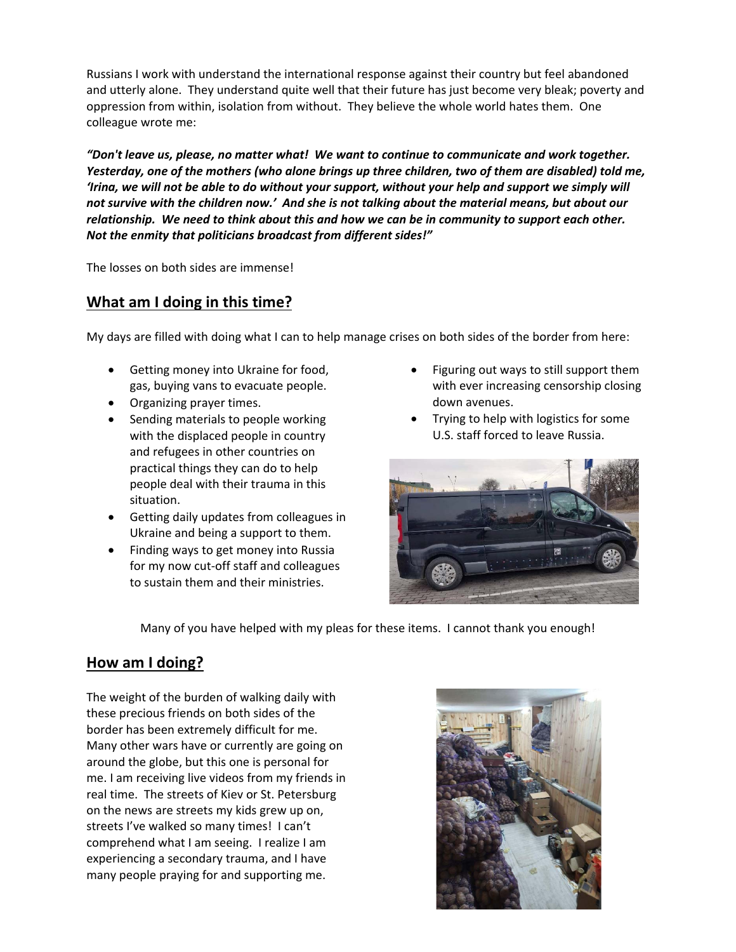Russians I work with understand the international response against their country but feel abandoned and utterly alone. They understand quite well that their future has just become very bleak; poverty and oppression from within, isolation from without. They believe the whole world hates them. One colleague wrote me:

*"Don't leave us, please, no matter what! We want to continue to communicate and work together. Yesterday, one of the mothers (who alone brings up three children, two of them are disabled) told me, 'Irina, we will not be able to do without your support, without your help and support we simply will not survive with the children now.' And she is not talking about the material means, but about our relationship. We need to think about this and how we can be in community to support each other. Not the enmity that politicians broadcast from different sides!"* 

The losses on both sides are immense!

## **What am I doing in this time?**

My days are filled with doing what I can to help manage crises on both sides of the border from here:

- Getting money into Ukraine for food, gas, buying vans to evacuate people.
- Organizing prayer times.
- Sending materials to people working with the displaced people in country and refugees in other countries on practical things they can do to help people deal with their trauma in this situation.
- Getting daily updates from colleagues in Ukraine and being a support to them.
- Finding ways to get money into Russia for my now cut-off staff and colleagues to sustain them and their ministries.
- Figuring out ways to still support them with ever increasing censorship closing down avenues.
- Trying to help with logistics for some U.S. staff forced to leave Russia.



Many of you have helped with my pleas for these items. I cannot thank you enough!

## **How am I doing?**

The weight of the burden of walking daily with these precious friends on both sides of the border has been extremely difficult for me. Many other wars have or currently are going on around the globe, but this one is personal for me. I am receiving live videos from my friends in real time. The streets of Kiev or St. Petersburg on the news are streets my kids grew up on, streets I've walked so many times! I can't comprehend what I am seeing. I realize I am experiencing a secondary trauma, and I have many people praying for and supporting me.